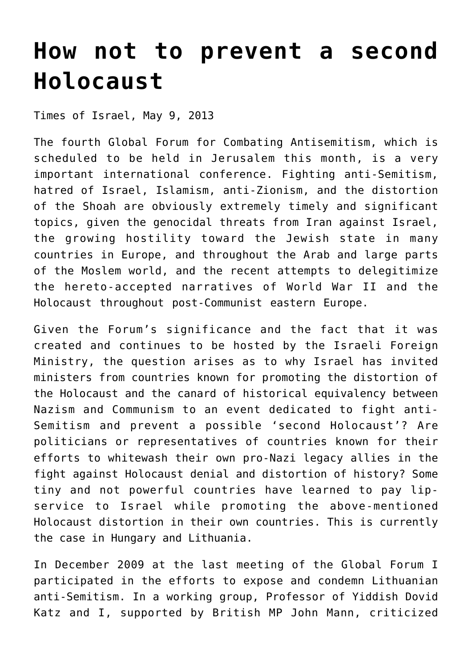## **[How not to prevent a second](https://www.clemensheni.net/how-not-to-prevent-a-second-holocaust/) [Holocaust](https://www.clemensheni.net/how-not-to-prevent-a-second-holocaust/)**

[Times of Israel, May 9, 2013](http://blogs.timesofisrael.com/how-not-to-prevent-a-second-holocaust/)

The fourth Global Forum for Combating Antisemitism, which is scheduled to be held in Jerusalem this month, is a very important international conference. Fighting anti-Semitism, hatred of Israel, Islamism, anti-Zionism, and the distortion of the Shoah are obviously extremely timely and significant topics, given the genocidal threats from Iran against Israel, the growing hostility toward the Jewish state in many countries in Europe, and throughout the Arab and large parts of the Moslem world, and the recent attempts to delegitimize the hereto-accepted narratives of World War II and the Holocaust throughout post-Communist eastern Europe.

Given the Forum's significance and the fact that it was created and continues to be hosted by the Israeli Foreign Ministry, the question arises as to why Israel has invited ministers from countries known for promoting the distortion of the Holocaust and the canard of historical equivalency between Nazism and Communism to an event dedicated to fight anti-Semitism and prevent a possible 'second Holocaust'? Are politicians or representatives of countries known for their efforts to whitewash their own pro-Nazi legacy allies in the fight against Holocaust denial and distortion of history? Some tiny and not powerful countries have learned to pay lipservice to Israel while promoting the above-mentioned Holocaust distortion in their own countries. This is currently the case in Hungary and Lithuania.

In December 2009 at the last meeting of the Global Forum I participated in the efforts to expose and condemn Lithuanian anti-Semitism. In a working group, Professor of Yiddish Dovid Katz and I, supported by British MP John Mann, criticized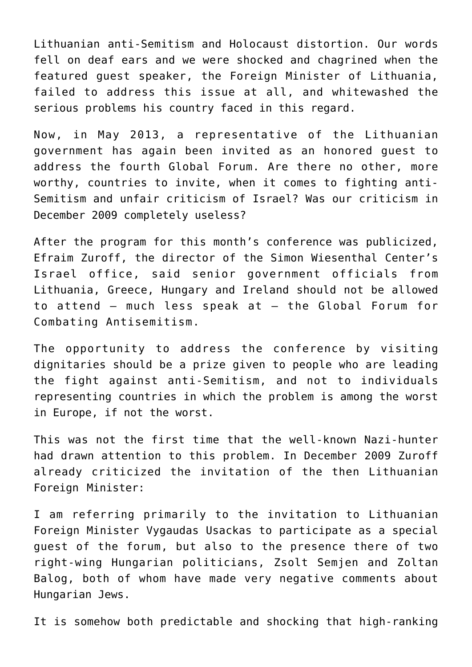Lithuanian anti-Semitism and Holocaust distortion. Our words fell on deaf ears and we were shocked and chagrined when the featured guest speaker, the Foreign Minister of Lithuania, failed to address this issue at all, and whitewashed the serious problems his country faced in this regard.

Now, in May 2013, a representative of the Lithuanian government has again been invited as an honored guest to address the fourth Global Forum. Are there no other, more worthy, countries to invite, when it comes to fighting anti-Semitism and unfair criticism of Israel? Was our criticism in December 2009 completely useless?

After the program for this month's conference was publicized, [Efraim Zuroff, the director of the Simon Wiesenthal Center's](http://www.timesofisrael.com/nazi-hunter-chides-israel-over-anti-semitism-conference/) [Israel office, said](http://www.timesofisrael.com/nazi-hunter-chides-israel-over-anti-semitism-conference/) senior government officials from Lithuania, Greece, Hungary and Ireland should not be allowed to attend – much less speak at – the Global Forum for Combating Antisemitism.

The opportunity to address the conference by visiting dignitaries should be a prize given to people who are leading the fight against anti-Semitism, and not to individuals representing countries in which the problem is among the worst in Europe, if not the worst.

This was not the first time that the well-known Nazi-hunter had drawn attention to this problem. In December 2009 Zuroff already criticized the invitation of the then Lithuanian Foreign Minister:

I am referring primarily to the invitation to Lithuanian Foreign Minister Vygaudas Usackas to participate as a special guest of the forum, but also to the presence there of two right-wing Hungarian politicians, Zsolt Semjen and Zoltan Balog, both of whom have made very negative comments about Hungarian Jews.

It is somehow both predictable and shocking that high-ranking